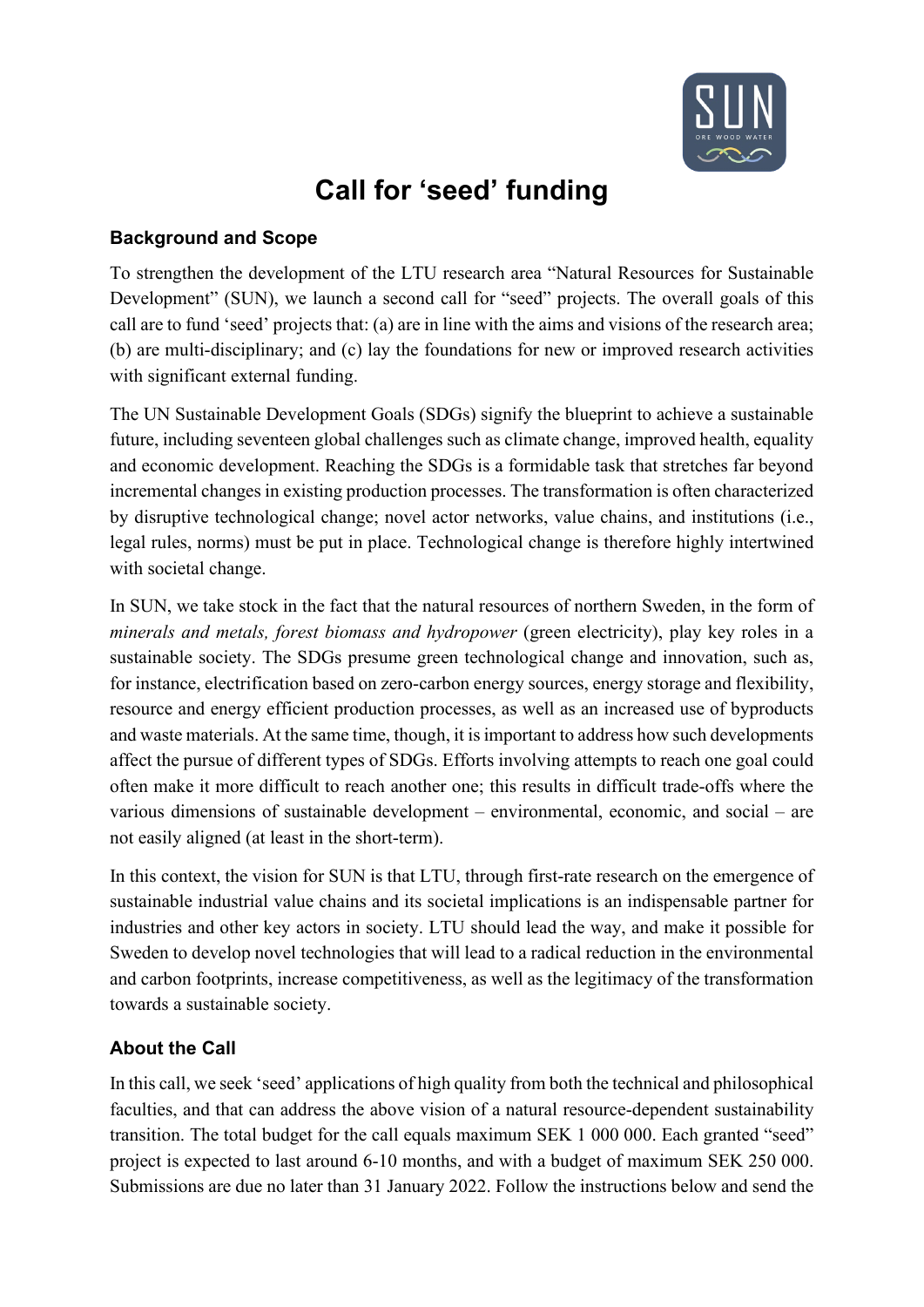

# **Call for 'seed' funding**

#### **Background and Scope**

To strengthen the development of the LTU research area "Natural Resources for Sustainable Development" (SUN), we launch a second call for "seed" projects. The overall goals of this call are to fund 'seed' projects that: (a) are in line with the aims and visions of the research area; (b) are multi-disciplinary; and (c) lay the foundations for new or improved research activities with significant external funding.

The UN Sustainable Development Goals (SDGs) signify the blueprint to achieve a sustainable future, including seventeen global challenges such as climate change, improved health, equality and economic development. Reaching the SDGs is a formidable task that stretches far beyond incremental changes in existing production processes. The transformation is often characterized by disruptive technological change; novel actor networks, value chains, and institutions (i.e., legal rules, norms) must be put in place. Technological change is therefore highly intertwined with societal change.

In SUN, we take stock in the fact that the natural resources of northern Sweden, in the form of *minerals and metals, forest biomass and hydropower* (green electricity), play key roles in a sustainable society. The SDGs presume green technological change and innovation, such as, for instance, electrification based on zero-carbon energy sources, energy storage and flexibility, resource and energy efficient production processes, as well as an increased use of byproducts and waste materials. At the same time, though, it is important to address how such developments affect the pursue of different types of SDGs. Efforts involving attempts to reach one goal could often make it more difficult to reach another one; this results in difficult trade-offs where the various dimensions of sustainable development – environmental, economic, and social – are not easily aligned (at least in the short-term).

In this context, the vision for SUN is that LTU, through first-rate research on the emergence of sustainable industrial value chains and its societal implications is an indispensable partner for industries and other key actors in society. LTU should lead the way, and make it possible for Sweden to develop novel technologies that will lead to a radical reduction in the environmental and carbon footprints, increase competitiveness, as well as the legitimacy of the transformation towards a sustainable society.

# **About the Call**

In this call, we seek 'seed' applications of high quality from both the technical and philosophical faculties, and that can address the above vision of a natural resource-dependent sustainability transition. The total budget for the call equals maximum SEK 1 000 000. Each granted "seed" project is expected to last around 6-10 months, and with a budget of maximum SEK 250 000. Submissions are due no later than 31 January 2022. Follow the instructions below and send the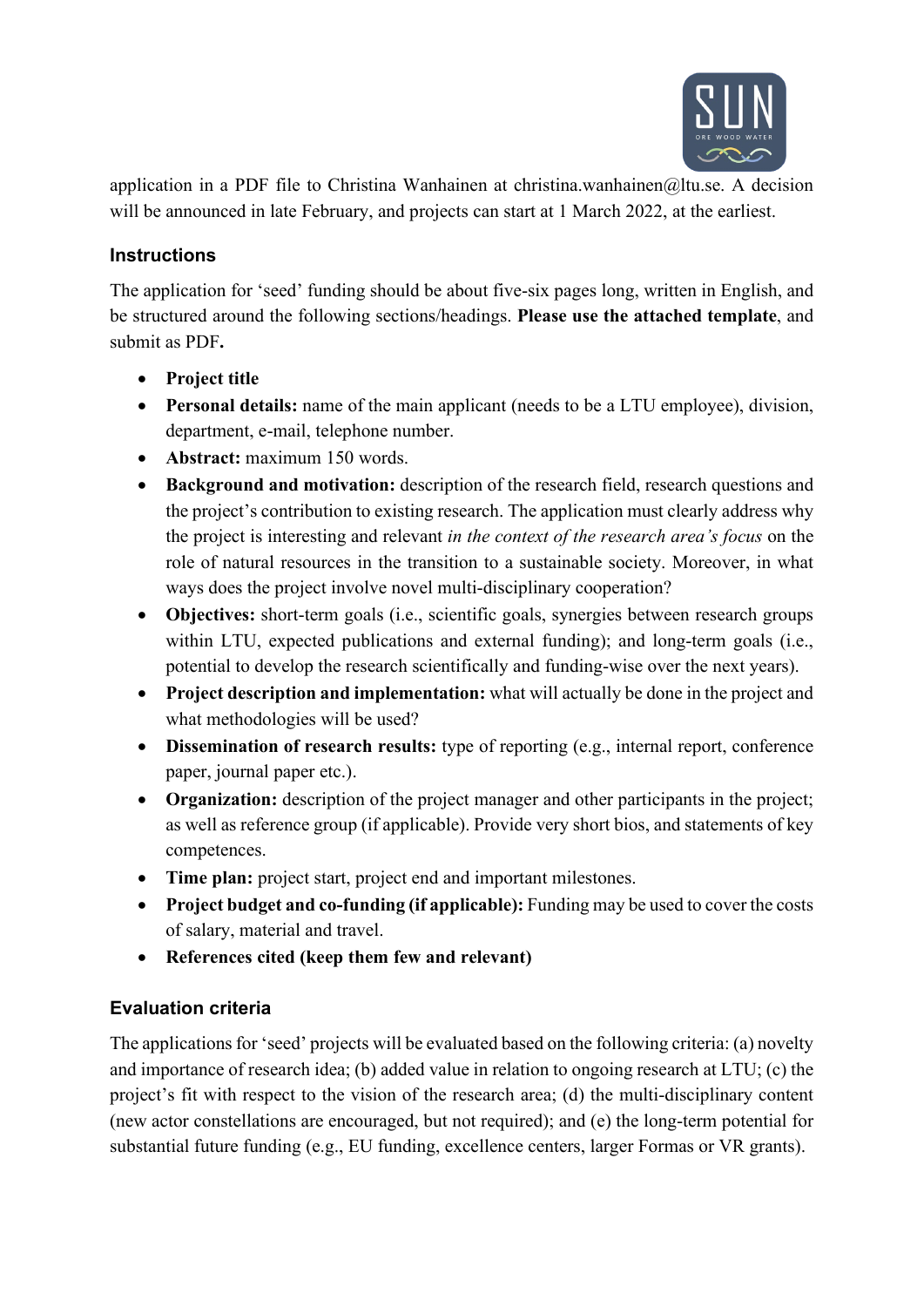

application in a PDF file to Christina Wanhainen at christina.wanhainen@ltu.se. A decision will be announced in late February, and projects can start at 1 March 2022, at the earliest.

### **Instructions**

The application for 'seed' funding should be about five-six pages long, written in English, and be structured around the following sections/headings. **Please use the attached template**, and submit as PDF**.**

- **Project title**
- **Personal details:** name of the main applicant (needs to be a LTU employee), division, department, e-mail, telephone number.
- **Abstract:** maximum 150 words.
- **Background and motivation:** description of the research field, research questions and the project's contribution to existing research. The application must clearly address why the project is interesting and relevant *in the context of the research area's focus* on the role of natural resources in the transition to a sustainable society. Moreover, in what ways does the project involve novel multi-disciplinary cooperation?
- **Objectives:** short-term goals (i.e., scientific goals, synergies between research groups within LTU, expected publications and external funding); and long-term goals (i.e., potential to develop the research scientifically and funding-wise over the next years).
- **Project description and implementation:** what will actually be done in the project and what methodologies will be used?
- **Dissemination of research results:** type of reporting (e.g., internal report, conference paper, journal paper etc.).
- **Organization:** description of the project manager and other participants in the project; as well as reference group (if applicable). Provide very short bios, and statements of key competences.
- **Time plan:** project start, project end and important milestones.
- **Project budget and co-funding (if applicable):** Funding may be used to cover the costs of salary, material and travel.
- **References cited (keep them few and relevant)**

# **Evaluation criteria**

The applications for 'seed' projects will be evaluated based on the following criteria: (a) novelty and importance of research idea; (b) added value in relation to ongoing research at LTU; (c) the project's fit with respect to the vision of the research area; (d) the multi-disciplinary content (new actor constellations are encouraged, but not required); and (e) the long-term potential for substantial future funding (e.g., EU funding, excellence centers, larger Formas or VR grants).